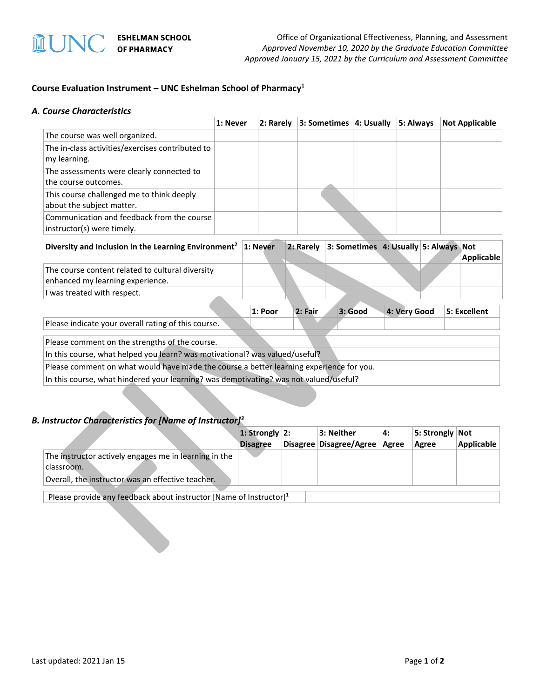### **Course Evaluation Instrument – UNC Eshelman School of Pharmacy1**

#### *A. Course Characteristics*

|                                                                          | 1: Never | 2: Rarely 3: Sometimes 4: Usually | 5: Always | <b>Not Applicable</b> |
|--------------------------------------------------------------------------|----------|-----------------------------------|-----------|-----------------------|
| The course was well organized.                                           |          |                                   |           |                       |
| The in-class activities/exercises contributed to<br>my learning.         |          |                                   |           |                       |
| The assessments were clearly connected to<br>the course outcomes.        |          |                                   |           |                       |
| This course challenged me to think deeply<br>about the subject matter.   |          |                                   |           |                       |
| Communication and feedback from the course<br>instructor(s) were timely. |          |                                   |           |                       |

### **Diversity and Inclusion in the Learning Environment2 1: Never 2: Rarely 3: Sometimes 4: Usually 5: Always Not**

|                                                  |         |         |         |              | Applicable   |
|--------------------------------------------------|---------|---------|---------|--------------|--------------|
| The course content related to cultural diversity |         |         |         |              |              |
| enhanced my learning experience.                 |         |         |         |              |              |
| I was treated with respect.                      |         |         |         |              |              |
|                                                  |         |         |         |              |              |
|                                                  | 1: Poor | 2: Fair | 3: Good | 4: Very Good | 5: Excellent |

|                                                                                         | t. i uul | z. . an | J. JUUU | <b>T. VEIV OUUU</b> | J. LALCIICIIL |  |
|-----------------------------------------------------------------------------------------|----------|---------|---------|---------------------|---------------|--|
| Please indicate your overall rating of this course.                                     |          |         |         |                     |               |  |
|                                                                                         |          |         |         |                     |               |  |
| Please comment on the strengths of the course.                                          |          |         |         |                     |               |  |
| In this course, what helped you learn? was motivational? was valued/useful?             |          |         |         |                     |               |  |
| Please comment on what would have made the course a better learning experience for you. |          |         |         |                     |               |  |
| In this course, what hindered your learning? was demotivating? was not valued/useful?   |          |         |         |                     |               |  |

# *B. Instructor Characteristics for [Name of Instructor] 3*

|                                                                       | 1: Strongly $ 2:$ |  | 3: Neither                      | ∣4: | 5: Strongly Not |            |  |
|-----------------------------------------------------------------------|-------------------|--|---------------------------------|-----|-----------------|------------|--|
|                                                                       | <b>Disagree</b>   |  | Disagree Disagree/Agree   Agree |     | Agree           | Applicable |  |
| The instructor actively engages me in learning in the                 |                   |  |                                 |     |                 |            |  |
| classroom.                                                            |                   |  |                                 |     |                 |            |  |
| Overall, the instructor was an effective teacher.                     |                   |  |                                 |     |                 |            |  |
|                                                                       |                   |  |                                 |     |                 |            |  |
| Please provide any feedback about instructor [Name of Instructor] $1$ |                   |  |                                 |     |                 |            |  |